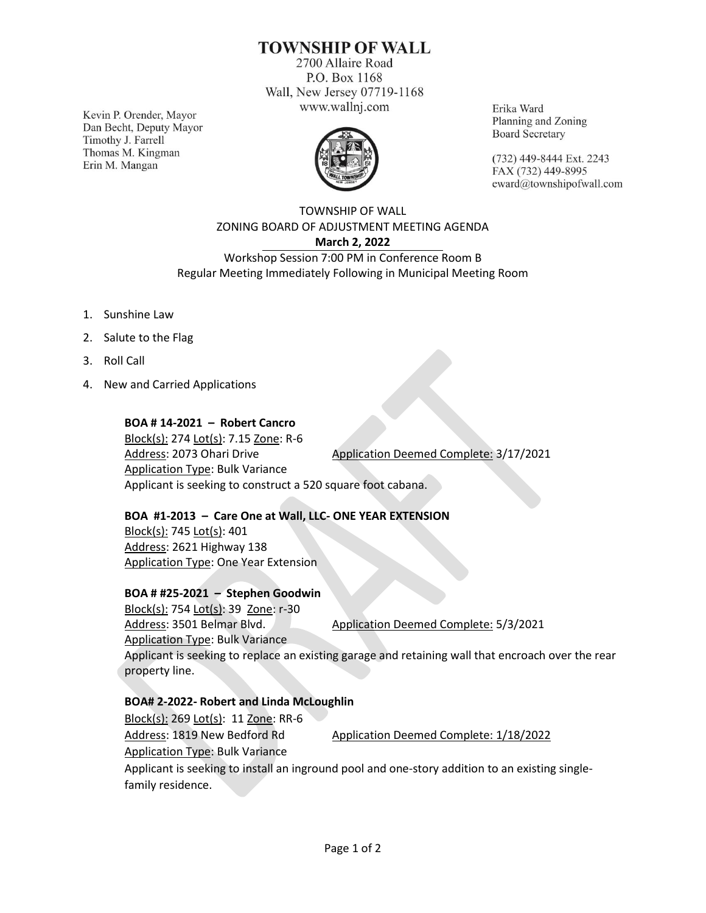# **TOWNSHIP OF WALL**

2700 Allaire Road P.O. Box 1168 Wall, New Jersey 07719-1168 www.wallnj.com

Kevin P. Orender, Mayor Dan Becht, Deputy Mayor Timothy J. Farrell Thomas M. Kingman Erin M. Mangan



Erika Ward Planning and Zoning **Board Secretary** 

(732) 449-8444 Ext. 2243 FAX (732) 449-8995 eward@townshipofwall.com

## TOWNSHIP OF WALL ZONING BOARD OF ADJUSTMENT MEETING AGENDA **March 2, 2022** Workshop Session 7:00 PM in Conference Room B Regular Meeting Immediately Following in Municipal Meeting Room

- 1. Sunshine Law
- 2. Salute to the Flag
- 3. Roll Call
- 4. New and Carried Applications

#### **BOA # 14-2021 – Robert Cancro**

Block(s): 274 Lot(s): 7.15 Zone: R-6 Address: 2073 Ohari Drive Application Deemed Complete: 3/17/2021 Application Type: Bulk Variance Applicant is seeking to construct a 520 square foot cabana.

## **BOA #1-2013 – Care One at Wall, LLC- ONE YEAR EXTENSION**

Block(s): 745 Lot(s): 401 Address: 2621 Highway 138 Application Type: One Year Extension

#### **BOA # #25-2021 – Stephen Goodwin**

Block(s): 754 Lot(s): 39 Zone: r-30 Address: 3501 Belmar Blvd. Application Deemed Complete: 5/3/2021 Application Type: Bulk Variance Applicant is seeking to replace an existing garage and retaining wall that encroach over the rear property line.

## **BOA# 2-2022- Robert and Linda McLoughlin**

Block(s): 269 Lot(s): 11 Zone: RR-6 Address: 1819 New Bedford Rd Application Deemed Complete: 1/18/2022 Application Type: Bulk Variance Applicant is seeking to install an inground pool and one-story addition to an existing singlefamily residence.